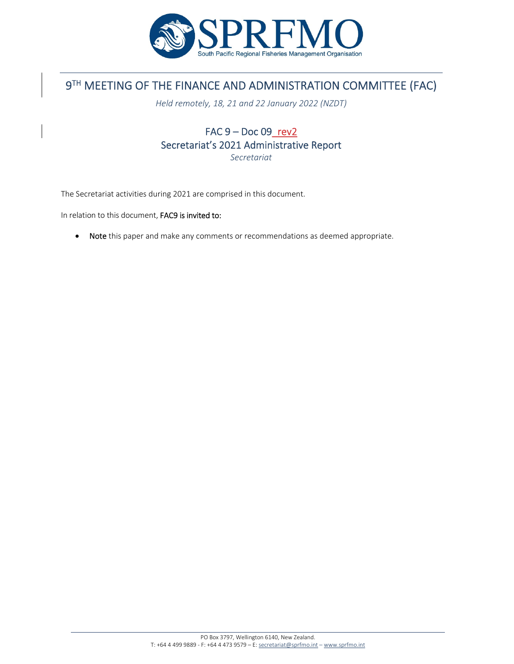

# 9TH MEETING OF THE FINANCE AND ADMINISTRATION COMMITTEE (FAC)

*Held remotely, 18, 21 and 22 January 2022 (NZDT)*

## FAC 9 – Doc 09\_rev2 Secretariat's 2021 Administrative Report *Secretariat*

The Secretariat activities during 2021 are comprised in this document.

In relation to this document, FAC9 is invited to:

• Note this paper and make any comments or recommendations as deemed appropriate.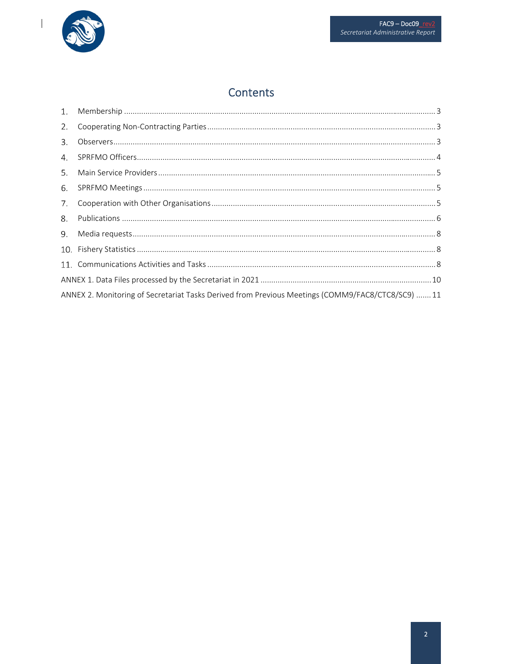

 $\begin{array}{c} \hline \end{array}$ 

## Contents

| ANNEX 2. Monitoring of Secretariat Tasks Derived from Previous Meetings (COMM9/FAC8/CTC8/SC9)  11 |     |
|---------------------------------------------------------------------------------------------------|-----|
|                                                                                                   | 10. |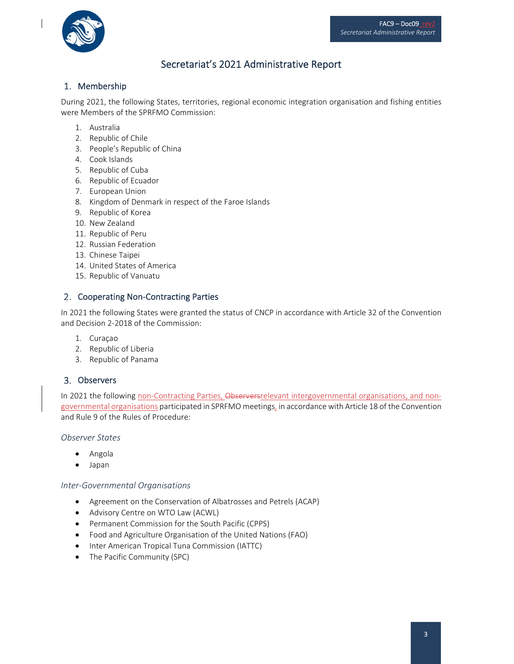

## Secretariat's 2021 Administrative Report

## 1. Membership

During 2021, the following States, territories, regional economic integration organisation and fishing entities were Members of the SPRFMO Commission:

- 1. Australia
- 2. Republic of Chile
- 3. People's Republic of China
- 4. Cook Islands
- 5. Republic of Cuba
- 6. Republic of Ecuador
- 7. European Union
- 8. Kingdom of Denmark in respect of the Faroe Islands
- 9. Republic of Korea
- 10. New Zealand
- 11. Republic of Peru
- 12. Russian Federation
- 13. Chinese Taipei
- 14. United States of America
- 15. Republic of Vanuatu

### 2. Cooperating Non-Contracting Parties

In 2021 the following States were granted the status of CNCP in accordance with Article 32 of the Convention and Decision 2‐2018 of the Commission:

- 1. Curaçao
- 2. Republic of Liberia
- 3. Republic of Panama

#### Observers

In 2021 the following non-Contracting Parties, Observersrelevant intergovernmental organisations, and nongovernmental organisations participated in SPRFMO meetings, in accordance with Article 18 of the Convention and Rule 9 of the Rules of Procedure:

#### *Observer States*

- Angola
- Japan

#### *Inter‐Governmental Organisations*

- Agreement on the Conservation of Albatrosses and Petrels (ACAP)
- Advisory Centre on WTO Law (ACWL)
- Permanent Commission for the South Pacific (CPPS)
- Food and Agriculture Organisation of the United Nations (FAO)
- Inter American Tropical Tuna Commission (IATTC)
- The Pacific Community (SPC)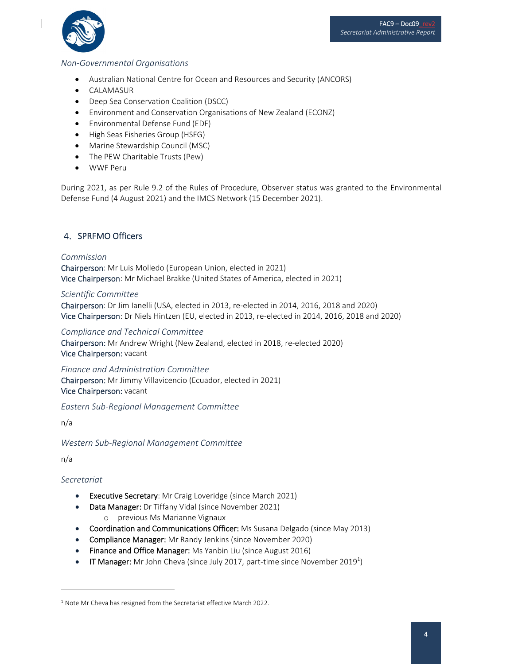

### *Non‐Governmental Organisations*

- Australian National Centre for Ocean and Resources and Security (ANCORS)
- CALAMASUR
- Deep Sea Conservation Coalition (DSCC)
- Environment and Conservation Organisations of New Zealand (ECONZ)
- Environmental Defense Fund (EDF)
- High Seas Fisheries Group (HSFG)
- Marine Stewardship Council (MSC)
- The PEW Charitable Trusts (Pew)
- WWF Peru

During 2021, as per Rule 9.2 of the Rules of Procedure, Observer status was granted to the Environmental Defense Fund (4 August 2021) and the IMCS Network (15 December 2021).

## 4. SPRFMO Officers

#### *Commission*

Chairperson: Mr Luis Molledo (European Union, elected in 2021) Vice Chairperson: Mr Michael Brakke (United States of America, elected in 2021)

#### *Scientific Committee*

Chairperson: Dr Jim Ianelli (USA, elected in 2013, re‐elected in 2014, 2016, 2018 and 2020) Vice Chairperson: Dr Niels Hintzen (EU, elected in 2013, re‐elected in 2014, 2016, 2018 and 2020)

#### *Compliance and Technical Committee*

Chairperson: Mr Andrew Wright (New Zealand, elected in 2018, re‐elected 2020) Vice Chairperson: vacant

*Finance and Administration Committee*  Chairperson: Mr Jimmy Villavicencio (Ecuador, elected in 2021) Vice Chairperson: vacant

*Eastern Sub‐Regional Management Committee*

n/a

*Western Sub‐Regional Management Committee*

n/a

*Secretariat* 

- **Executive Secretary:** Mr Craig Loveridge (since March 2021)
- Data Manager: Dr Tiffany Vidal (since November 2021)
	- o previous Ms Marianne Vignaux
- Coordination and Communications Officer: Ms Susana Delgado (since May 2013)
- Compliance Manager: Mr Randy Jenkins (since November 2020)
- Finance and Office Manager: Ms Yanbin Liu (since August 2016)
- **IT Manager:** Mr John Cheva (since July 2017, part-time since November 2019<sup>1</sup>)

<sup>&</sup>lt;sup>1</sup> Note Mr Cheva has resigned from the Secretariat effective March 2022.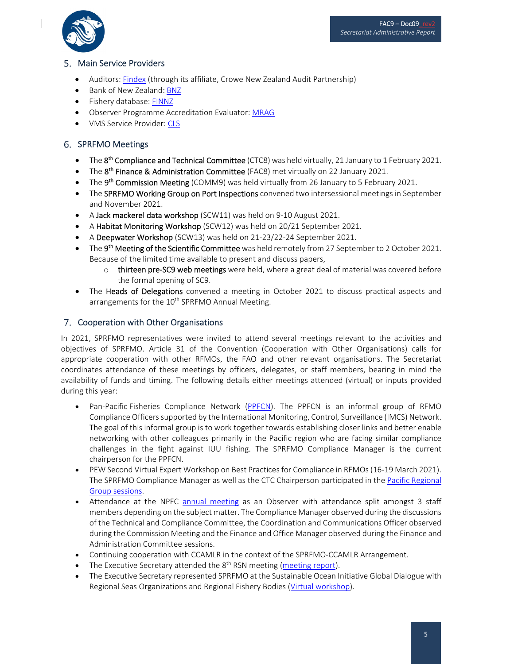

## 5. Main Service Providers

- Auditors: [Findex](https://www.findex.co.nz/home?referrer=crowehorwath.co.nz) (through its affiliate, Crowe New Zealand Audit Partnership)
- Bank of New Zealand: [BNZ](https://www.bnz.co.nz/)
- **•** Fishery database: [FINNZ](http://www.finnz.com/)
- Observer Programme Accreditation Evaluator: [MRAG](https://mrag.co.uk/)
- VMS Service Provider: [CLS](https://www.cls.fr/en/)

## 6. SPRFMO Meetings

- The 8<sup>th</sup> Compliance and Technical Committee (CTC8) was held virtually, 21 January to 1 February 2021.
- The 8<sup>th</sup> Finance & Administration Committee (FAC8) met virtually on 22 January 2021.
- The 9<sup>th</sup> Commission Meeting (COMM9) was held virtually from 26 January to 5 February 2021.
- The SPRFMO Working Group on Port Inspections convened two intersessional meetings in September and November 2021.
- A Jack mackerel data workshop (SCW11) was held on 9-10 August 2021.
- A Habitat Monitoring Workshop (SCW12) was held on 20/21 September 2021.
- A Deepwater Workshop (SCW13) was held on 21-23/22-24 September 2021.
- The 9<sup>th</sup> Meeting of the Scientific Committee was held remotely from 27 September to 2 October 2021. Because of the limited time available to present and discuss papers,
	- o thirteen pre‐SC9 web meetings were held, where a great deal of material was covered before the formal opening of SC9.
- The Heads of Delegations convened a meeting in October 2021 to discuss practical aspects and arrangements for the 10<sup>th</sup> SPRFMO Annual Meeting.

## 7. Cooperation with Other Organisations

In 2021, SPRFMO representatives were invited to attend several meetings relevant to the activities and objectives of SPRFMO. Article 31 of the Convention (Cooperation with Other Organisations) calls for appropriate cooperation with other RFMOs, the FAO and other relevant organisations. The Secretariat coordinates attendance of these meetings by officers, delegates, or staff members, bearing in mind the availability of funds and timing. The following details either meetings attended (virtual) or inputs provided during this year:

- Pan-Pacific Fisheries Compliance Network [\(PPFCN](https://www.sprfmo.int/assets/Cooperation-with-others/PPFCN-Operational-Framework-for-the-Pan-Pacific-Fisheries-Compliance-Network-Rev-1-10Jan21.docx)). The PPFCN is an informal group of RFMO Compliance Officers supported by the International Monitoring, Control, Surveillance (IMCS) Network. The goal of this informal group is to work together towards establishing closer links and better enable networking with other colleagues primarily in the Pacific region who are facing similar compliance challenges in the fight against IUU fishing. The SPRFMO Compliance Manager is the current chairperson for the PPFCN.
- PEW Second Virtual Expert Workshop on Best Practices for Compliance in RFMOs (16-19 March 2021). The SPRFMO Compliance Manager as well as the CTC [Chairperson](https://www.sprfmo.int/assets/PEW-VIRTUAL-WORKSHOP/2021-Virtual-Expert-Workshop-Program-Agenda-005.pdf) participated in the Pacific Regional Group sessions.
- Attendance at the NPFC annual [meeting](https://www.npfc.int/meetings/6th-annual-session-commission) as an Observer with attendance split amongst 3 staff members depending on the subject matter. The Compliance Manager observed during the discussions of the Technical and Compliance Committee, the Coordination and Communications Officer observed during the Commission Meeting and the Finance and Office Manager observed during the Finance and Administration Committee sessions.
- Continuing cooperation with CCAMLR in the context of the SPRFMO‐CCAMLR Arrangement.
- The Executive Secretary attended the 8<sup>th</sup> RSN [meeting](https://www.fao.org/publications/card/en/c/CB5544EN/) (meeting report).
- The Executive Secretary represented SPRFMO at the Sustainable Ocean Initiative Global Dialogue with Regional Seas Organizations and Regional Fishery Bodies (Virtual [workshop\)](https://www.cbd.int/meetings/SOI-WS-2021-01).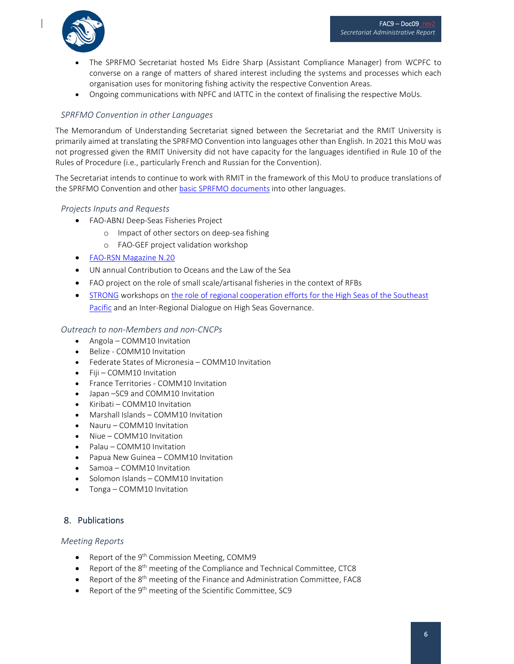

- The SPRFMO Secretariat hosted Ms Eidre Sharp (Assistant Compliance Manager) from WCPFC to converse on a range of matters of shared interest including the systems and processes which each organisation uses for monitoring fishing activity the respective Convention Areas.
- Ongoing communications with NPFC and IATTC in the context of finalising the respective MoUs.

#### *SPRFMO Convention in other Languages*

The Memorandum of Understanding Secretariat signed between the Secretariat and the RMIT University is primarily aimed at translating the SPRFMO Convention into languages other than English. In 2021 this MoU was not progressed given the RMIT University did not have capacity for the languages identified in Rule 10 of the Rules of Procedure (i.e., particularly French and Russian for the Convention).

The Secretariat intends to continue to work with RMIT in the framework of this MoU to produce translations of the SPRFMO Convention and other basic SPRFMO [documents](https://www.sprfmo.int/about/docs/) into other languages.

#### *Projects Inputs and Requests*

- FAO-ABNJ Deep-Seas Fisheries Project
	- o Impact of other sectors on deep‐sea fishing
	- o FAO‐GEF project validation workshop
- FAO‐RSN [Magazine](https://www.fao.org/documents/card/en/c/cb7507en) N.20
- UN annual Contribution to Oceans and the Law of the Sea
- FAO project on the role of small scale/artisanal fisheries in the context of RFBs
- **[STRONG](https://www.prog-ocean.org/our-work/strong-high-seas/) workshops on the role of regional cooperation efforts for the High Seas of the Southeast** Pacific and an Inter‐Regional Dialogue on High Seas [Governance.](https://www.prog-ocean.org/wp-content/uploads/2021/07/Summary-Dialogue-WS-IV_EN.pdf)

#### *Outreach to non‐Members and non‐CNCPs*

- Angola COMM10 Invitation
- Belize ‐ COMM10 Invitation
- Federate States of Micronesia COMM10 Invitation
- Fiji COMM10 Invitation
- France Territories COMM10 Invitation
- Japan –SC9 and COMM10 Invitation
- Kiribati COMM10 Invitation
- Marshall Islands COMM10 Invitation
- Nauru COMM10 Invitation
- Niue COMM10 Invitation
- Palau COMM10 Invitation
- Papua New Guinea COMM10 Invitation
- Samoa COMM10 Invitation
- Solomon Islands COMM10 Invitation
- Tonga COMM10 Invitation

## 8. Publications

#### *Meeting Reports*

- Report of the  $9<sup>th</sup>$  Commission Meeting, COMM9
- **•** Report of the  $8<sup>th</sup>$  meeting of the Compliance and Technical Committee, CTC8
- **•** Report of the  $8<sup>th</sup>$  meeting of the Finance and Administration Committee, FAC8
- Report of the 9th meeting of the Scientific Committee, SC9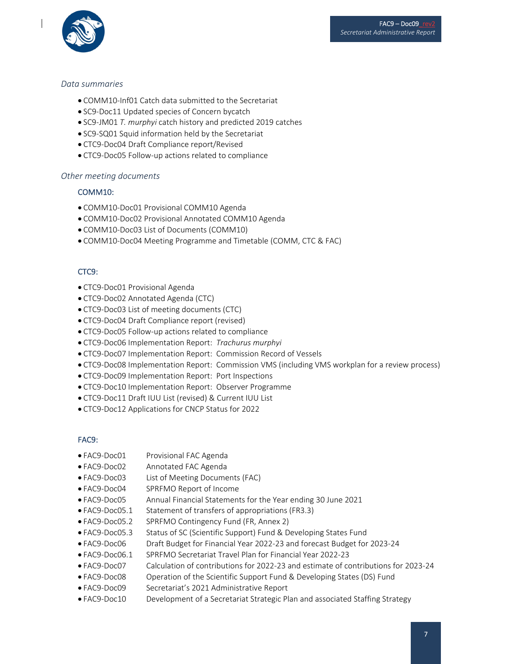

#### *Data summaries*

- COMM10-Inf01 Catch data submitted to the Secretariat
- SC9-Doc11 Updated species of Concern bycatch
- SC9‐JM01 *T. murphyi* catch history and predicted 2019 catches
- SC9-SQ01 Squid information held by the Secretariat
- CTC9‐Doc04 Draft Compliance report/Revised
- CTC9‐Doc05 Follow‐up actions related to compliance

#### *Other meeting documents*

#### COMM10:

- COMM10‐Doc01 Provisional COMM10 Agenda
- COMM10‐Doc02 Provisional Annotated COMM10 Agenda
- COMM10‐Doc03 List of Documents (COMM10)
- COMM10‐Doc04 Meeting Programme and Timetable (COMM, CTC & FAC)

#### CTC9:

- CTC9-Doc01 Provisional Agenda
- CTC9‐Doc02 Annotated Agenda (CTC)
- CTC9‐Doc03 List of meeting documents (CTC)
- CTC9‐Doc04 Draft Compliance report (revised)
- CTC9‐Doc05 Follow‐up actions related to compliance
- CTC9‐Doc06 Implementation Report: *Trachurus murphyi*
- CTC9‐Doc07 Implementation Report: Commission Record of Vessels
- CTC9‐Doc08 Implementation Report: Commission VMS (including VMS workplan for a review process)
- CTC9‐Doc09 Implementation Report: Port Inspections
- CTC9‐Doc10 Implementation Report: Observer Programme
- CTC9‐Doc11 Draft IUU List (revised) & Current IUU List
- CTC9‐Doc12 Applications for CNCP Status for 2022

#### FAC9:

- FAC9-Doc01 Provisional FAC Agenda
- FAC9‐Doc02 Annotated FAC Agenda
- FAC9‐Doc03 List of Meeting Documents (FAC)
- FAC9‐Doc04 SPRFMO Report of Income
- FAC9‐Doc05 Annual Financial Statements for the Year ending 30 June 2021
- FAC9‐Doc05.1 Statement of transfers of appropriations (FR3.3)
- FAC9‐Doc05.2 SPRFMO Contingency Fund (FR, Annex 2)
- FAC9‐Doc05.3 Status of SC (Scientific Support) Fund & Developing States Fund
- FAC9‐Doc06 Draft Budget for Financial Year 2022‐23 and forecast Budget for 2023‐24
- FAC9‐Doc06.1 SPRFMO Secretariat Travel Plan for Financial Year 2022‐23
- FAC9‐Doc07 Calculation of contributions for 2022‐23 and estimate of contributions for 2023‐24
- FAC9‐Doc08 Operation of the Scientific Support Fund & Developing States (DS) Fund
- FAC9‐Doc09 Secretariat's 2021 Administrative Report
- FAC9‐Doc10 Development of a Secretariat Strategic Plan and associated Staffing Strategy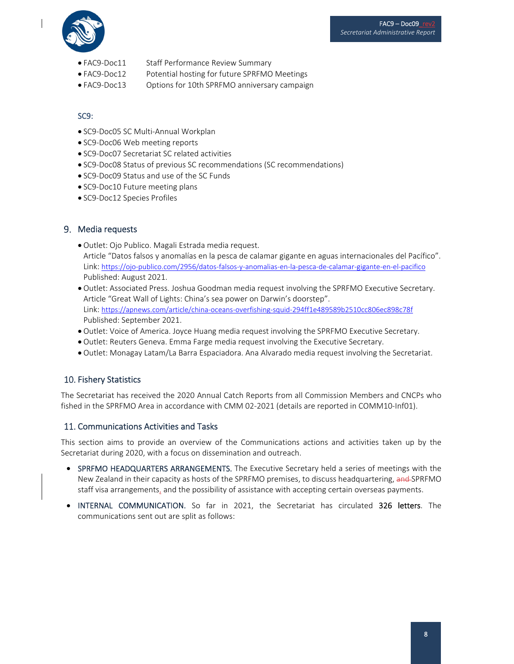

- FAC9-Doc11 Staff Performance Review Summary
- FAC9-Doc12 Potential hosting for future SPRFMO Meetings
- FAC9‐Doc13 Options for 10th SPRFMO anniversary campaign

## SC9:

- SC9-Doc05 SC Multi-Annual Workplan
- SC9-Doc06 Web meeting reports
- SC9-Doc07 Secretariat SC related activities
- SC9-Doc08 Status of previous SC recommendations (SC recommendations)
- SC9-Doc09 Status and use of the SC Funds
- SC9-Doc10 Future meeting plans
- SC9-Doc12 Species Profiles

### Media requests

- Outlet: Ojo Publico. Magali Estrada media request. Article "Datos falsos y anomalías en la pesca de calamar gigante en aguas internacionales del Pacífico". Link: https://ojo-publico.com/2956/datos-falsos-y-anomalias-en-la-pesca-de-calamar-gigante-en-el-pacifico Published: August 2021.
- Outlet: Associated Press. Joshua Goodman media request involving the SPRFMO Executive Secretary. Article "Great Wall of Lights: China's sea power on Darwin's doorstep". Link: https://apnews.com/article/china‐oceans‐overfishing‐squid‐294ff1e489589b2510cc806ec898c78f Published: September 2021.
- Outlet: Voice of America. Joyce Huang media request involving the SPRFMO Executive Secretary.
- Outlet: Reuters Geneva. Emma Farge media request involving the Executive Secretary.
- Outlet: Monagay Latam/La Barra Espaciadora. Ana Alvarado media request involving the Secretariat.

## 10. Fishery Statistics

The Secretariat has received the 2020 Annual Catch Reports from all Commission Members and CNCPs who fished in the SPRFMO Area in accordance with CMM 02-2021 (details are reported in COMM10-Inf01).

#### 11. Communications Activities and Tasks

This section aims to provide an overview of the Communications actions and activities taken up by the Secretariat during 2020, with a focus on dissemination and outreach.

- SPRFMO HEADQUARTERS ARRANGEMENTS. The Executive Secretary held a series of meetings with the New Zealand in their capacity as hosts of the SPRFMO premises, to discuss headquartering, and SPRFMO staff visa arrangements, and the possibility of assistance with accepting certain overseas payments.
- INTERNAL COMMUNICATION. So far in 2021, the Secretariat has circulated 326 letters. The communications sent out are split as follows: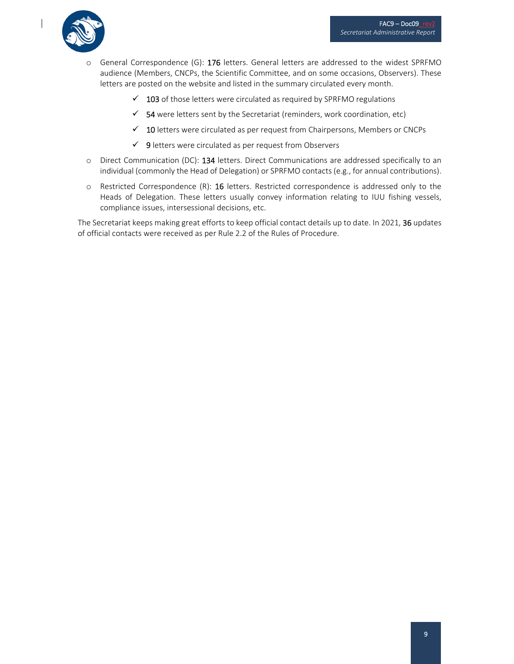

- o General Correspondence (G): 176 letters. General letters are addressed to the widest SPRFMO audience (Members, CNCPs, the Scientific Committee, and on some occasions, Observers). These letters are posted on the website and listed in the summary circulated every month.
	- $\checkmark$  103 of those letters were circulated as required by SPRFMO regulations
	- $\checkmark$  54 were letters sent by the Secretariat (reminders, work coordination, etc)
	- $\checkmark$  10 letters were circulated as per request from Chairpersons, Members or CNCPs
	- $\checkmark$  9 letters were circulated as per request from Observers
- o Direct Communication (DC): 134 letters. Direct Communications are addressed specifically to an individual (commonly the Head of Delegation) or SPRFMO contacts (e.g., for annual contributions).
- $\circ$  Restricted Correspondence (R): 16 letters. Restricted correspondence is addressed only to the Heads of Delegation. These letters usually convey information relating to IUU fishing vessels, compliance issues, intersessional decisions, etc.

The Secretariat keeps making great efforts to keep official contact details up to date. In 2021, 36 updates of official contacts were received as per Rule 2.2 of the Rules of Procedure.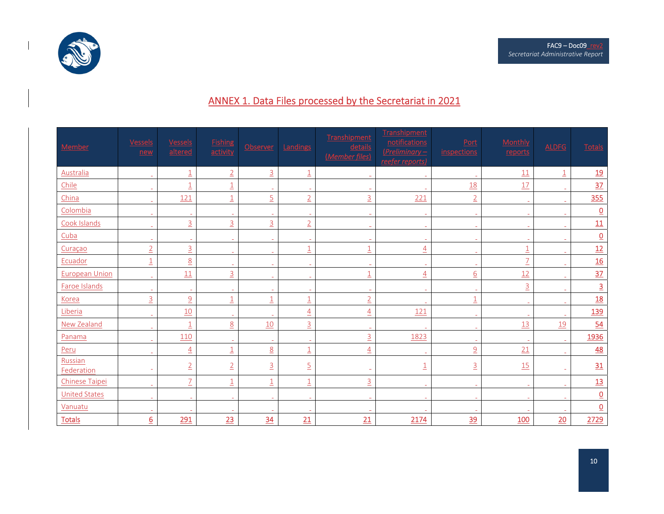



 $\mathbf{I}$ 

# ANNEX 1. Data Files processed by the Secretariat in 2021

| Member                | Vessels<br>new  | <b>Vessels</b><br>altered | <b>Fishing</b><br>activity | Observer       | Landings                  | Transhipment<br>details<br>(Member files) | Transhipment<br>notifications<br>$(Preliminary -$<br>reefer reports) | Port<br>inspections | <b>Monthly</b><br>reports | <b>ALDFG</b>            | <b>Totals</b>            |
|-----------------------|-----------------|---------------------------|----------------------------|----------------|---------------------------|-------------------------------------------|----------------------------------------------------------------------|---------------------|---------------------------|-------------------------|--------------------------|
| Australia             |                 | $\overline{1}$            | $\overline{2}$             | $\overline{3}$ | $\underline{1}$           | $\sim$                                    | $\sim$                                                               |                     | 11                        | $\overline{\mathbf{1}}$ | 19                       |
| Chile                 |                 | $\overline{1}$            | $\overline{1}$             | $\sim$         | $\sim$                    | $\overline{\phantom{a}}$                  | $\sim$                                                               | <u>18</u>           | 17                        | $\sim$                  | 37                       |
| China                 |                 | 121                       | $\underline{\mathbbm{1}}$  | $\overline{5}$ | $\overline{2}$            | $\overline{3}$                            | 221                                                                  | $\overline{2}$      | $\sim$                    | $\sim$                  | 355                      |
| Colombia              |                 | $\sim$                    | $\sim$                     | $\sim$         | i.                        | $\sim$                                    | $\sim$                                                               | $\sim$              | $\sim$                    | $\sim$                  | $\underline{\mathsf{O}}$ |
| Cook Islands          |                 | $\overline{3}$            | $\overline{3}$             | $\overline{3}$ | $\overline{2}$            | $\sim$                                    | $\sim$                                                               |                     | $\sim$                    |                         | 11                       |
| Cuba                  |                 | $\overline{\phantom{a}}$  | $\sim$                     | $\sim$         | $\sim$                    |                                           | $\overline{\phantom{a}}$                                             |                     | $\sim$                    | $\sim$                  | $\underline{\mathsf{O}}$ |
| Curaçao               | $\overline{2}$  | $\overline{3}$            | $\sim$                     | $\sim$         | $\overline{1}$            | $\overline{1}$                            | $\overline{4}$                                                       |                     | $\overline{\mathbf{1}}$   | $\sim$                  | 12                       |
| Ecuador               | $\overline{1}$  | $\overline{8}$            | $\sim$                     | $\blacksquare$ | $\sim$                    | $\overline{\phantom{a}}$                  | $\sim$                                                               |                     | $\overline{1}$            | $\sim$                  | <u>16</u>                |
| <b>European Union</b> | $\overline{a}$  | 11                        | $\overline{3}$             | $\sim$         | $\sim$                    | $\underline{1}$                           | $\overline{4}$                                                       | $\underline{6}$     | 12                        | $\sim$                  | 37                       |
| Faroe Islands         |                 | $\sim$                    | $\sim$                     | $\sim$         | $\blacksquare$            | $\sim$                                    | $\sim$                                                               |                     | $\overline{3}$            | $\sim$                  | $\overline{3}$           |
| Korea                 | $\overline{3}$  | $\overline{a}$            | $\overline{1}$             | $\overline{1}$ | $\underline{1}$           | $\overline{2}$                            | $\overline{\phantom{a}}$                                             | $\overline{1}$      | $\sim$                    | $\sim$                  | <u>18</u>                |
| Liberia               |                 | 10                        | $\sim$                     |                | $\overline{4}$            | $\overline{4}$                            | 121                                                                  |                     | $\sim$                    |                         | <u>139</u>               |
| New Zealand           |                 | $\overline{1}$            | $\overline{8}$             | 10             | $\overline{3}$            | $\overline{a}$                            |                                                                      |                     | 13                        | 19                      | 54                       |
| Panama                |                 | 110                       | $\sim$                     | $\sim$         | $\sim$                    | $\overline{3}$                            | 1823                                                                 |                     | $\sim$                    | $\sim$                  | 1936                     |
| Peru                  |                 | $\overline{4}$            | $\underline{\mathbbm{1}}$  | 8              | $\underline{1}$           | $\overline{4}$                            | $\sim$                                                               | $\overline{a}$      | 21                        | $\sim$                  | 48                       |
| Russian<br>Federation |                 | $\overline{2}$            | $\overline{2}$             | $\overline{3}$ | $\overline{5}$            |                                           | $\overline{1}$                                                       | $\overline{3}$      | 15                        |                         | 31                       |
| Chinese Taipei        | ÷.              | $\overline{1}$            | $\overline{1}$             | $\overline{1}$ | $\underline{\mathbbm{1}}$ | $\overline{3}$                            | $\sim$                                                               | $\sim$              | $\sim$                    | $\sim$                  | <u>13</u>                |
| <b>United States</b>  |                 | $\sim$                    | $\sim$                     | $\sim$         | $\sim$                    | $\sim$                                    | $\sim$                                                               |                     | $\sim$                    | $\sim$                  | $\underline{0}$          |
| Vanuatu               |                 |                           | $\overline{a}$             |                | $\sim$                    |                                           |                                                                      |                     |                           |                         | $\underline{\mathsf{O}}$ |
| <b>Totals</b>         | $\underline{6}$ | 291                       | 23                         | 34             | 21                        | 21                                        | 2174                                                                 | 39                  | 100                       | 20                      | 2729                     |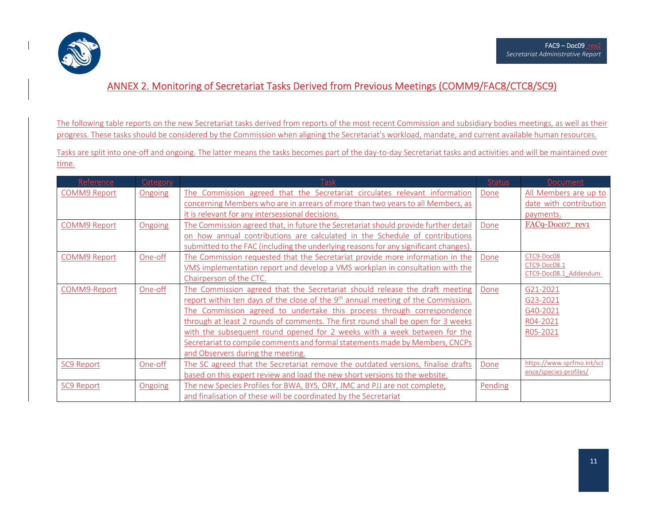

## ANNEX 2. Monitoring of Secretariat Tasks Derived from Previous Meetings (COMM9/FAC8/CTC8/SC9)

The following table reports on the new Secretariat tasks derived from reports of the most recent Commission and subsidiary bodies meetings, as well as their progress. These tasks should be considered by the Commission when aligning the Secretariat's workload, mandate, and current available human resources.

Tasks are split into one‐off and ongoing. The latter means the tasks becomes part of the day‐to‐day Secretariat tasks and activities and will be maintained over time.

| Reference           | Category | <b>Task</b>                                                                         | <b>Status</b> | <b>Document</b>            |
|---------------------|----------|-------------------------------------------------------------------------------------|---------------|----------------------------|
| <b>COMM9 Report</b> | Ongoing  | The Commission agreed that the Secretariat circulates relevant information          | Done          | All Members are up to      |
|                     |          | concerning Members who are in arrears of more than two years to all Members, as     |               | date with contribution     |
|                     |          | it is relevant for any intersessional decisions.                                    |               | payments.                  |
| <b>COMM9 Report</b> | Ongoing  | The Commission agreed that, in future the Secretariat should provide further detail | Done          | FAC9-Doco7 rev1            |
|                     |          | on how annual contributions are calculated in the Schedule of contributions         |               |                            |
|                     |          | submitted to the FAC (including the underlying reasons for any significant changes) |               |                            |
| <b>COMM9 Report</b> | One-off  | The Commission requested that the Secretariat provide more information in the       | Done          | CTC9-Doc08                 |
|                     |          | VMS implementation report and develop a VMS workplan in consultation with the       |               | CTC9-Doc08.1               |
|                     |          | Chairperson of the CTC.                                                             |               | CTC9-Doc08.1 Addendum      |
| COMM9-Report        | One-off  | The Commission agreed that the Secretariat should release the draft meeting         | Done          | G21-2021                   |
|                     |          | report within ten days of the close of the $9th$ annual meeting of the Commission.  |               | G23-2021                   |
|                     |          | The Commission agreed to undertake this process through correspondence              |               | G40-2021                   |
|                     |          | through at least 2 rounds of comments. The first round shall be open for 3 weeks    |               | R04-2021                   |
|                     |          | with the subsequent round opened for 2 weeks with a week between for the            |               | R05-2021                   |
|                     |          | Secretariat to compile comments and formal statements made by Members, CNCPs        |               |                            |
|                     |          | and Observers during the meeting.                                                   |               |                            |
| <b>SC9 Report</b>   | One-off  | The SC agreed that the Secretariat remove the outdated versions, finalise drafts    | Done          | https://www.sprfmo.int/sci |
|                     |          | based on this expert review and load the new short versions to the website.         |               | ence/species-profiles/     |
| <b>SC9 Report</b>   | Ongoing  | The new Species Profiles for BWA, BYS, ORY, JMC and PJJ are not complete,           | Pending       |                            |
|                     |          | and finalisation of these will be coordinated by the Secretariat                    |               |                            |